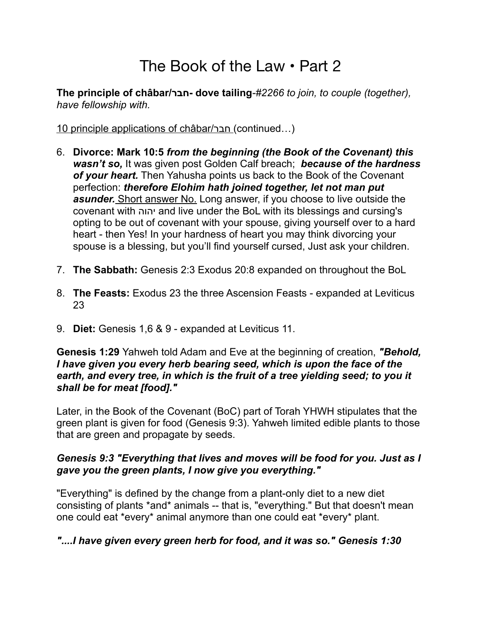# The Book of the Law • Part 2

**The principle of châbar/חבר- dove tailing***-#2266 to join, to couple (together), have fellowship with.*

10 principle applications of châbar/חבר) continued…)

- 6. **Divorce: Mark 10:5** *from the beginning (the Book of the Covenant) this wasn't so,* It was given post Golden Calf breach; *because of the hardness of your heart.* Then Yahusha points us back to the Book of the Covenant perfection: *therefore Elohim hath joined together, let not man put asunder.* Short answer No. Long answer, if you choose to live outside the covenant with יהוה and live under the BoL with its blessings and cursing's opting to be out of covenant with your spouse, giving yourself over to a hard heart - then Yes! In your hardness of heart you may think divorcing your spouse is a blessing, but you'll find yourself cursed, Just ask your children.
- 7. **The Sabbath:** Genesis 2:3 Exodus 20:8 expanded on throughout the BoL
- 8. **The Feasts:** Exodus 23 the three Ascension Feasts expanded at Leviticus 23
- 9. **Diet:** Genesis 1,6 & 9 expanded at Leviticus 11.

#### **Genesis 1:29** Yahweh told Adam and Eve at the beginning of creation, *"Behold, I have given you every herb bearing seed, which is upon the face of the earth, and every tree, in which is the fruit of a tree yielding seed; to you it shall be for meat [food]."*

Later, in the Book of the Covenant (BoC) part of Torah YHWH stipulates that the green plant is given for food (Genesis 9:3). Yahweh limited edible plants to those that are green and propagate by seeds.

# *Genesis 9:3 "Everything that lives and moves will be food for you. Just as I gave you the green plants, I now give you everything."*

"Everything" is defined by the change from a plant-only diet to a new diet consisting of plants \*and\* animals -- that is, "everything." But that doesn't mean one could eat \*every\* animal anymore than one could eat \*every\* plant.

# *"....I have given every green herb for food, and it was so." Genesis 1:30*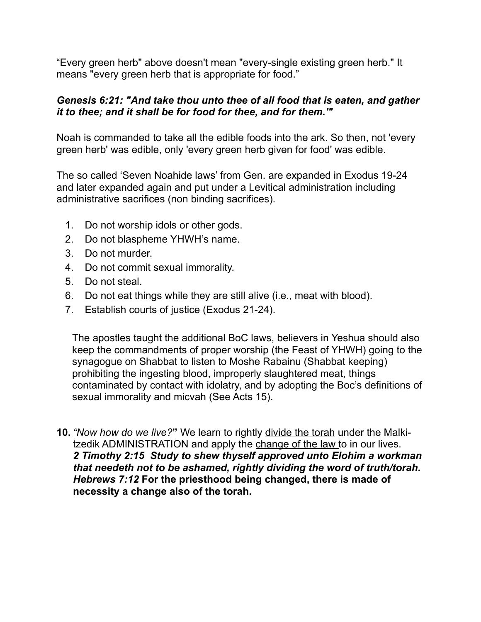"Every green herb" above doesn't mean "every-single existing green herb." It means "every green herb that is appropriate for food."

#### *Genesis 6:21: "And take thou unto thee of all food that is eaten, and gather it to thee; and it shall be for food for thee, and for them.'"*

Noah is commanded to take all the edible foods into the ark. So then, not 'every green herb' was edible, only 'every green herb given for food' was edible.

The so called 'Seven Noahide laws' from Gen. are expanded in Exodus 19-24 and later expanded again and put under a Levitical administration including administrative sacrifices (non binding sacrifices).

- 1. Do not worship idols or other gods.
- 2. Do not blaspheme YHWH's name.
- 3. Do not murder.
- 4. Do not commit sexual immorality.
- 5. Do not steal.
- 6. Do not eat things while they are still alive (i.e., meat with blood).
- 7. Establish courts of justice (Exodus 21-24).

The apostles taught the additional BoC laws, believers in Yeshua should also keep the commandments of proper worship (the Feast of YHWH) going to the synagogue on Shabbat to listen to Moshe Rabainu (Shabbat keeping) prohibiting the ingesting blood, improperly slaughtered meat, things contaminated by contact with idolatry, and by adopting the Boc's definitions of sexual immorality and micvah (See Acts 15).

**10.** *"Now how do we live?***"** We learn to rightly divide the torah under the Malkitzedik ADMINISTRATION and apply the change of the law to in our lives. *2 Timothy 2:15 Study to shew thyself approved unto Elohim a workman that needeth not to be ashamed, rightly dividing the word of truth/torah. Hebrews 7:12* **For the priesthood being changed, there is made of necessity a change also of the torah.**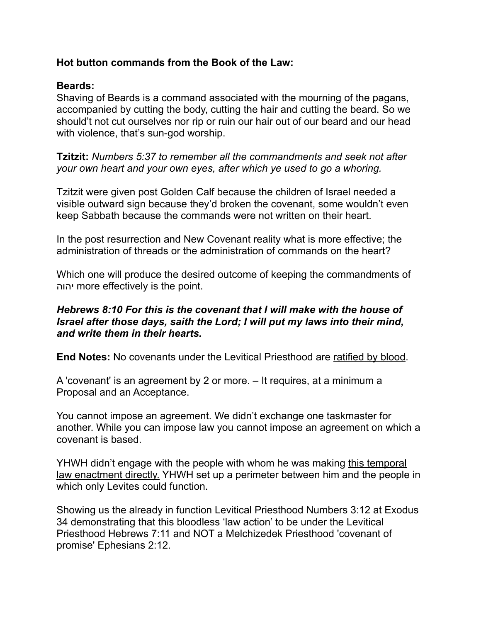## **Hot button commands from the Book of the Law:**

## **Beards:**

Shaving of Beards is a command associated with the mourning of the pagans, accompanied by cutting the body, cutting the hair and cutting the beard. So we should't not cut ourselves nor rip or ruin our hair out of our beard and our head with violence, that's sun-god worship.

**Tzitzit:** *Numbers 5:37 to remember all the commandments and seek not after your own heart and your own eyes, after which ye used to go a whoring.* 

Tzitzit were given post Golden Calf because the children of Israel needed a visible outward sign because they'd broken the covenant, some wouldn't even keep Sabbath because the commands were not written on their heart.

In the post resurrection and New Covenant reality what is more effective; the administration of threads or the administration of commands on the heart?

Which one will produce the desired outcome of keeping the commandments of יהוה more effectively is the point.

#### *Hebrews 8:10 For this is the covenant that I will make with the house of Israel after those days, saith the Lord; I will put my laws into their mind, and write them in their hearts.*

**End Notes:** No covenants under the Levitical Priesthood are ratified by blood.

A 'covenant' is an agreement by 2 or more. – It requires, at a minimum a Proposal and an Acceptance.

You cannot impose an agreement. We didn't exchange one taskmaster for another. While you can impose law you cannot impose an agreement on which a covenant is based.

YHWH didn't engage with the people with whom he was making this temporal law enactment directly. YHWH set up a perimeter between him and the people in which only Levites could function.

Showing us the already in function Levitical Priesthood Numbers 3:12 at Exodus 34 demonstrating that this bloodless 'law action' to be under the Levitical Priesthood Hebrews 7:11 and NOT a Melchizedek Priesthood 'covenant of promise' Ephesians 2:12.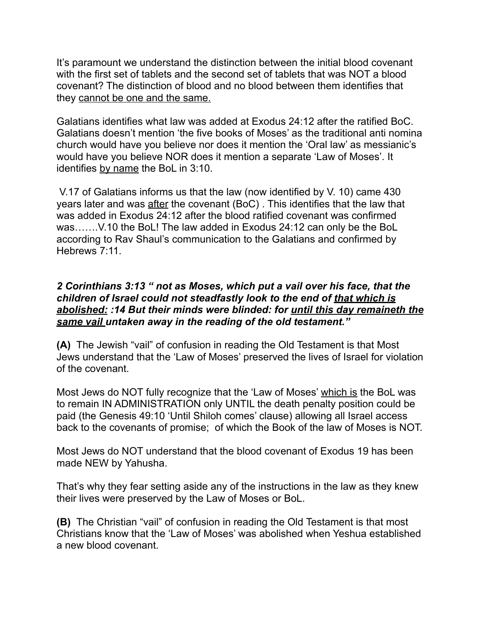It's paramount we understand the distinction between the initial blood covenant with the first set of tablets and the second set of tablets that was NOT a blood covenant? The distinction of blood and no blood between them identifies that they cannot be one and the same.

Galatians identifies what law was added at Exodus 24:12 after the ratified BoC. Galatians doesn't mention 'the five books of Moses' as the traditional anti nomina church would have you believe nor does it mention the 'Oral law' as messianic's would have you believe NOR does it mention a separate 'Law of Moses'. It identifies by name the BoL in 3:10.

 V.17 of Galatians informs us that the law (now identified by V. 10) came 430 years later and was after the covenant (BoC) . This identifies that the law that was added in Exodus 24:12 after the blood ratified covenant was confirmed was…….V.10 the BoL! The law added in Exodus 24:12 can only be the BoL according to Rav Shaul's communication to the Galatians and confirmed by Hebrews 7:11.

#### *2 Corinthians 3:13 " not as Moses, which put a vail over his face, that the children of Israel could not steadfastly look to the end of that which is abolished: :14 But their minds were blinded: for until this day remaineth the same vail untaken away in the reading of the old testament."*

**(A)** The Jewish "vail" of confusion in reading the Old Testament is that Most Jews understand that the 'Law of Moses' preserved the lives of Israel for violation of the covenant.

Most Jews do NOT fully recognize that the 'Law of Moses' which is the BoL was to remain IN ADMINISTRATION only UNTIL the death penalty position could be paid (the Genesis 49:10 'Until Shiloh comes' clause) allowing all Israel access back to the covenants of promise; of which the Book of the law of Moses is NOT.

Most Jews do NOT understand that the blood covenant of Exodus 19 has been made NEW by Yahusha.

That's why they fear setting aside any of the instructions in the law as they knew their lives were preserved by the Law of Moses or BoL.

**(B)** The Christian "vail" of confusion in reading the Old Testament is that most Christians know that the 'Law of Moses' was abolished when Yeshua established a new blood covenant.